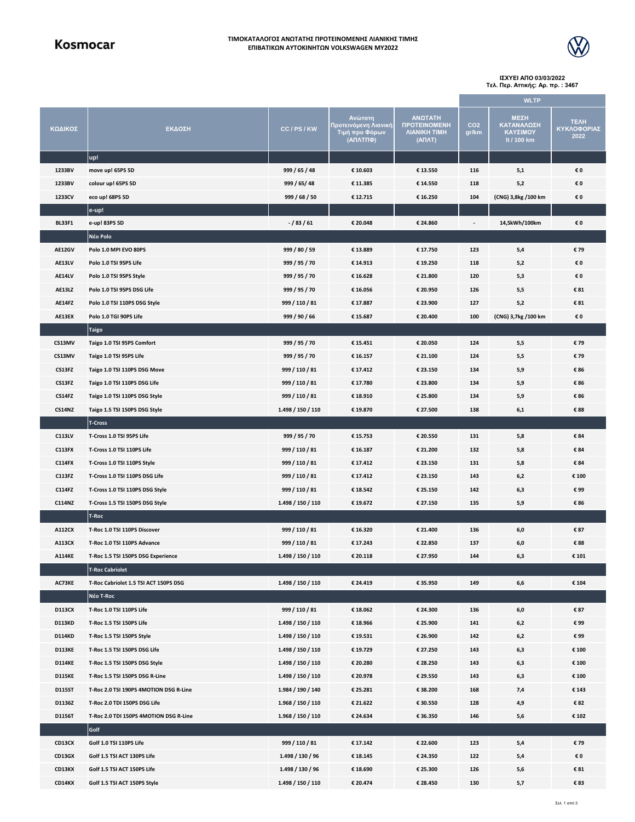### **ΤΙΜΟΚΑΤΑΛΟΓΟΣ ΑΝΩΤΑΤΗΣ ΠΡΟΤΕΙΝΟΜΕΝΗΣ ΛΙΑΝΙΚΗΣ ΤΙΜΗΣ ΕΠΙΒΑΤΙΚΩΝ ΑΥΤΟΚΙΝΗΤΩΝ VOLKSWAGEN MY2022**



**ΙΣΧΥΕΙ ΑΠΟ 03/03/2022 Τελ. Περ. Αττικής: Αρ. πρ. : 3467**

|               |                                        |                   |                                                                       |                                                                                      | <b>WLTP</b>              |                                               |                                    |  |
|---------------|----------------------------------------|-------------------|-----------------------------------------------------------------------|--------------------------------------------------------------------------------------|--------------------------|-----------------------------------------------|------------------------------------|--|
| ΚΩΔΙΚΟΣ       | ΕΚΔΟΣΗ                                 | CC/PS/KW          | <u>Αν</u> ώτατη<br>Προτεινόμενη Λιανική<br>Τιμή προ Φόρων<br>(ΑΠΛΤΠΦ) | ΑΝΩΤΑΤΗ<br><b><i><u>IPOTEINOMENH</u></i></b><br><b><i>NIANIKH TIMH</i></b><br>(ΑΠΛΤ) | CO <sub>2</sub><br>gr/km | ΜΕΣΗ<br>ΚΑΤΑΝΑΛΩΣΗ<br>ΚΑΥΣΙΜΟΥ<br>It / 100 km | <b>TEAH</b><br>ΚΥΚΛΟΦΟΡΙΑΣ<br>2022 |  |
|               | up!                                    |                   |                                                                       |                                                                                      |                          |                                               |                                    |  |
| 1233BV        | move up! 65PS 5D                       | 999 / 65 / 48     | € 10.603                                                              | € 13.550                                                                             | 116                      | 5,1                                           | €0                                 |  |
| 1233BV        | colour up! 65PS 5D                     | 999 / 65 / 48     | € 11.385                                                              | € 14.550                                                                             | 118                      | 5,2                                           | €0                                 |  |
| 1233CV        | eco up! 68PS 5D                        | 999 / 68 / 50     | € 12.715                                                              | € 16.250                                                                             | 104                      | (CNG) 3,8kg /100 km                           | €0                                 |  |
|               | e-up!                                  |                   |                                                                       |                                                                                      |                          |                                               |                                    |  |
| <b>BL33F1</b> | e-up! 83PS 5D                          | $- / 83 / 61$     | € 20.048                                                              | € 24.860                                                                             |                          | 14,5kWh/100km                                 | €0                                 |  |
|               | Néo Polo                               |                   |                                                                       |                                                                                      |                          |                                               |                                    |  |
| AE12GV        | Polo 1.0 MPI EVO 80PS                  | 999 / 80 / 59     | € 13.889                                                              | € 17.750                                                                             | 123                      | 5,4                                           | €79                                |  |
| AE13LV        | Polo 1.0 TSI 95PS Life                 | 999 / 95 / 70     | € 14.913                                                              | € 19.250                                                                             | 118                      | 5,2                                           | €0                                 |  |
| AE14LV        | Polo 1.0 TSI 95PS Style                | 999 / 95 / 70     | €16.628                                                               | € 21.800                                                                             | 120                      | 5,3                                           | €0                                 |  |
| AE13LZ        | Polo 1.0 TSI 95PS DSG Life             | 999 / 95 / 70     | € 16.056                                                              | € 20.950                                                                             | 126                      | 5,5                                           | € 81                               |  |
| AE14FZ        | Polo 1.0 TSI 110PS DSG Style           | 999 / 110 / 81    | € 17.887                                                              | € 23.900                                                                             | 127                      | 5,2                                           | € 81                               |  |
| AE13EX        | Polo 1.0 TGI 90PS Life                 | 999 / 90 / 66     | € 15.687                                                              | € 20.400                                                                             | 100                      | (CNG) 3,7kg /100 km                           | €0                                 |  |
|               | Taigo                                  |                   |                                                                       |                                                                                      |                          |                                               |                                    |  |
| CS13MV        | Taigo 1.0 TSI 95PS Comfort             | 999 / 95 / 70     | € 15.451                                                              | € 20.050                                                                             | 124                      | 5,5                                           | €79                                |  |
| CS13MV        | Taigo 1.0 TSI 95PS Life                | 999 / 95 / 70     | € 16.157                                                              | € 21.100                                                                             | 124                      | 5,5                                           | €79                                |  |
| CS13FZ        | Taigo 1.0 TSI 110PS DSG Move           | 999 / 110 / 81    | € 17.412                                                              | € 23.150                                                                             | 134                      | 5,9                                           | € 86                               |  |
| CS13FZ        | Taigo 1.0 TSI 110PS DSG Life           | 999 / 110 / 81    | € 17.780                                                              | € 23.800                                                                             | 134                      | 5,9                                           | € 86                               |  |
| <b>CS14FZ</b> | Taigo 1.0 TSI 110PS DSG Style          | 999 / 110 / 81    | € 18.910                                                              | € 25.800                                                                             | 134                      | 5,9                                           | €86                                |  |
| <b>CS14NZ</b> | Taigo 1.5 TSI 150PS DSG Style          | 1.498 / 150 / 110 | € 19.870                                                              | € 27.500                                                                             | 138                      | 6,1                                           | € 88                               |  |
|               | <b>T-Cross</b>                         |                   |                                                                       |                                                                                      |                          |                                               |                                    |  |
| C113LV        | T-Cross 1.0 TSI 95PS Life              | 999 / 95 / 70     | € 15.753                                                              | € 20.550                                                                             | 131                      | 5,8                                           | € 84                               |  |
| <b>C113FX</b> | T-Cross 1.0 TSI 110PS Life             | 999 / 110 / 81    | € 16.187                                                              | € 21.200                                                                             | 132                      | 5,8                                           | €84                                |  |
| <b>C114FX</b> | T-Cross 1.0 TSI 110PS Style            | 999 / 110 / 81    | € 17.412                                                              | € 23.150                                                                             | 131                      | 5,8                                           | € 84                               |  |
| C113FZ        | T-Cross 1.0 TSI 110PS DSG Life         | 999 / 110 / 81    | € 17.412                                                              | € 23.150                                                                             | 143                      | 6,2                                           | € 100                              |  |
| C114FZ        | T-Cross 1.0 TSI 110PS DSG Style        | 999 / 110 / 81    | € 18.542                                                              | € 25.150                                                                             | 142                      | 6,3                                           | €99                                |  |
| <b>C114NZ</b> | T-Cross 1.5 TSI 150PS DSG Style        | 1.498 / 150 / 110 | € 19.672                                                              | € 27.150                                                                             | 135                      | 5,9                                           | € 86                               |  |
|               | T-Roc                                  |                   |                                                                       |                                                                                      |                          |                                               |                                    |  |
| A112CX        | T-Roc 1.0 TSI 110PS Discover           | 999 / 110 / 81    | € 16.320                                                              | € 21.400                                                                             | 136                      | 6,0                                           | €87                                |  |
| A113CX        | T-Roc 1.0 TSI 110PS Advance            | 999 / 110 / 81    | € 17.243                                                              | € 22.850                                                                             | 137                      | 6,0                                           | € 88                               |  |
| <b>A114KE</b> | T-Roc 1.5 TSI 150PS DSG Experience     | 1.498 / 150 / 110 | € 20.118                                                              | € 27.950                                                                             | 144                      | 6,3                                           | € 101                              |  |
|               | <b>T-Roc Cabriolet</b>                 |                   |                                                                       |                                                                                      |                          |                                               |                                    |  |
| AC73KE        | T-Roc Cabriolet 1.5 TSI ACT 150PS DSG  | 1.498 / 150 / 110 | € 24.419                                                              | € 35.950                                                                             | 149                      | 6,6                                           | € 104                              |  |
|               | Néo T-Roc                              |                   |                                                                       |                                                                                      |                          |                                               |                                    |  |
| D113CX        | T-Roc 1.0 TSI 110PS Life               | 999 / 110 / 81    | € 18.062                                                              | € 24.300                                                                             | 136                      | 6,0                                           | €87                                |  |
| <b>D113KD</b> | T-Roc 1.5 TSI 150PS Life               | 1.498 / 150 / 110 | € 18.966                                                              | € 25.900                                                                             | 141                      | 6,2                                           | €99                                |  |
| <b>D114KD</b> | T-Roc 1.5 TSI 150PS Style              | 1.498 / 150 / 110 | € 19.531                                                              | € 26.900                                                                             | 142                      | 6,2                                           | €99                                |  |
| <b>D113KE</b> | T-Roc 1.5 TSI 150PS DSG Life           | 1.498 / 150 / 110 | € 19.729                                                              | € 27.250                                                                             | 143                      | 6,3                                           | € 100                              |  |
| <b>D114KE</b> | T-Roc 1.5 TSI 150PS DSG Style          | 1.498 / 150 / 110 | € 20.280                                                              | € 28.250                                                                             | 143                      | 6,3                                           | € 100                              |  |
| <b>D115KE</b> | T-Roc 1.5 TSI 150PS DSG R-Line         | 1.498 / 150 / 110 | € 20.978                                                              | € 29.550                                                                             | 143                      | 6,3                                           | € 100                              |  |
| <b>D115ST</b> | T-Roc 2.0 TSI 190PS 4MOTION DSG R-Line | 1.984 / 190 / 140 | € 25.281                                                              | € 38.200                                                                             | 168                      | 7,4                                           | €143                               |  |
| D1136Z        | T-Roc 2.0 TDI 150PS DSG Life           | 1.968 / 150 / 110 | € 21.622                                                              | € 30.550                                                                             | 128                      | 4,9                                           | €82                                |  |
| D1156T        | T-Roc 2.0 TDI 150PS 4MOTION DSG R-Line | 1.968 / 150 / 110 | € 24.634                                                              | € 36.350                                                                             | 146                      | 5,6                                           | € 102                              |  |
|               | Golf                                   |                   |                                                                       |                                                                                      |                          |                                               |                                    |  |
| CD13CX        | Golf 1.0 TSI 110PS Life                | 999 / 110 / 81    | € 17.142                                                              | € 22.600                                                                             | 123                      | 5,4                                           | €79                                |  |
| CD13GX        | Golf 1.5 TSI ACT 130PS Life            | 1.498 / 130 / 96  | € 18.145                                                              | € 24.350                                                                             | 122                      | 5,4                                           | €0                                 |  |
| CD13KX        | Golf 1.5 TSI ACT 150PS Life            | 1.498 / 130 / 96  | € 18.690                                                              | € 25.300                                                                             | 126                      | $5,6$                                         | € 81                               |  |
| CD14KX        | Golf 1.5 TSI ACT 150PS Style           | 1.498 / 150 / 110 | € 20.474                                                              | € 28.450                                                                             | 130                      | 5,7                                           | €83                                |  |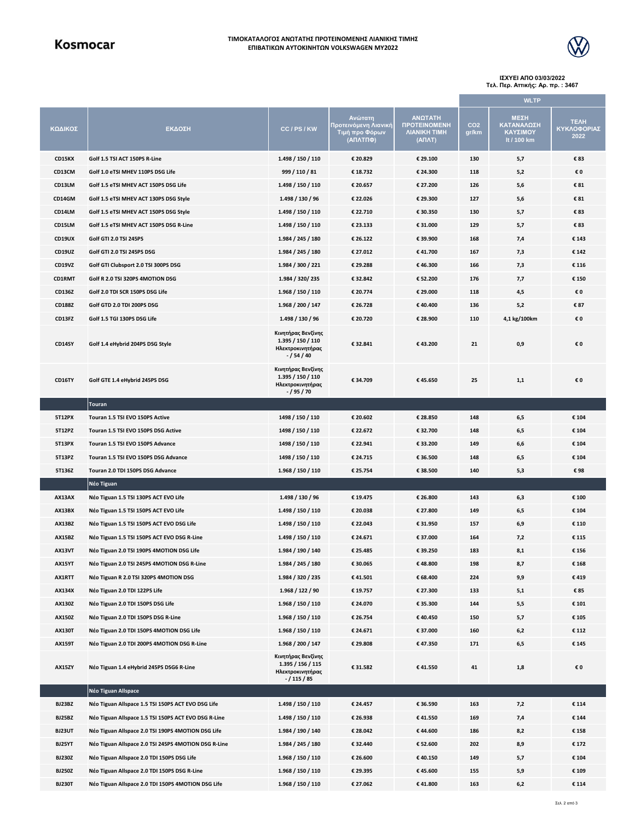## Kosmocar

#### **ΤΙΜΟΚΑΤΑΛΟΓΟΣ ΑΝΩΤΑΤΗΣ ΠΡΟΤΕΙΝΟΜΕΝΗΣ ΛΙΑΝΙΚΗΣ ΤΙΜΗΣ ΕΠΙΒΑΤΙΚΩΝ ΑΥΤΟΚΙΝΗΤΩΝ VOLKSWAGEN MY2022**



#### **ΙΣΧΥΕΙ ΑΠΟ 03/03/2022 Τελ. Περ. Αττικής: Αρ. πρ. : 3467**

**ΜΕΣΗ ΚΑΤΑΝΑΛΩΣΗ ΚΑΥΣΙΜΟΥ lt / 100 km ΤΕΛΗ ΚΥΚΛΟΦΟΡΙΑΣ 2022 WLTP ΚΩΔΙΚΟΣ ΕΚΔΟΣΗ CC / PS / KW Ανώτατη Προτεινόμενη Λιανική Τιμή προ Φόρων (ΑΠΛΤΠΦ) ΑΝΩΤΑΤΗ ΠΡΟΤΕΙΝΟΜΕΝΗ ΛΙΑΝΙΚΗ ΤΙΜΗ (ΑΠΛΤ) CO2 gr/km CD15KX Golf 1.5 TSI ACT 150PS R-Line 1.498 / 150 / 110 € 20.829 € 29.100 130 5,7 € 83 CD13CM Golf 1.0 eTSI MHEV 110PS DSG Life 999 / 110 / 81 € 18.732 € 24.300 118 5,2 € 0 CD13LM Golf 1.5 eTSI MHEV ACT 150PS DSG Life 1.498 / 150 / 110 € 20.657 € 27.200 126 5,6 € 81 CD14GM Golf 1.5 eTSI MHEV ACT 130PS DSG Style 1.498 / 130 / 96 € 22.026 € 29.300 127 5,6 € 81 CD14LM Golf 1.5 eTSI MHEV ACT 150PS DSG Style 1.498 / 150 / 110 € 22.710 € 30.350 130 5,7 € 83 CD15LM Golf 1.5 eTSI MHEV ACT 150PS DSG R-Line 1.498 / 150 / 110 € 23.133 € 31.000 129 5,7 € 83 CD19UX Golf GTI 2.0 TSI 245PS 1.984 / 245 / 180 € 26.122 € 39.900 168 7,4 € 143 CD19UZ Golf GTI 2.0 TSI 245PS DSG 1.984 / 245 / 180 € 27.012 € 41.700 167 7,3 € 142 CD19VZ Golf GTI Clubsport 2.0 TSI 300PS DSG 1.984 / 300 / 221 € 29.288 € 46.300 166 7,3 € 116 CD1RMT Golf R 2.0 TSI 320PS 4MOTION DSG 1.984 / 320/ 235 € 32.842 € 52.200 176 7,7 € 150 CD136Z Golf 2.0 TDI SCR 150PS DSG Life 1.968 / 150 / 110 € 20.774 € 29.000 118 4,5 € 0 CD188Z Golf GTD 2.0 TDI 200PS DSG 1.968 / 200 / 147 € 26.728 € 40.400 136 5,2 € 87 CD13FZ Golf 1.5 TGI 130PS DSG Life 1.498 / 130 / 96 € 20.720 € 28.900 110 4,1 kg/100km € 0 CD14SY Golf 1.4 eHybrid 204PS DSG Style Κινητήρας Βενζίνης 1.395 / 150 / 110 Ηλεκτροκινητήρας - / 54 / 40 € 32.841 € 43.200 21 0,9 € 0 CD16TY Golf GTE 1.4 eHybrid 245PS DSG Κινητήρας Βενζίνης 1.395 / 150 / 110 Ηλεκτροκινητήρας - / 95 / 70 € 34.709 € 45.650 25 1,1 € 0 Touran 5T12PX Touran 1.5 TSI EVO 150PS Active 1498 / 150 / 110 € 20.602 € 28.850 148 6,5 € 104 5T12PZ Touran 1.5 TSI EVO 150PS DSG Active 1498 / 150 / 110 € 22.672 € 32.700 148 6,5 € 104 5T13PX Touran 1.5 TSI EVO 150PS Advance 1498 / 150 / 110 € 22.941 € 33.200 149 6,6 € 104 5T13PZ Touran 1.5 TSI EVO 150PS DSG Advance 1498 / 150 / 110 € 24.715 € 36.500 148 6,5 € 104 5T136Z Touran 2.0 TDI 150PS DSG Advance 1.968 / 150 / 110 € 25.754 € 38.500 140 5,3 € 98 Νέο Tiguan AX13AX Νέο Tiguan 1.5 TSI 130PS ACT EVO Life 1.498 / 130 / 96 € 19.475 € 26.800 143 6,3 € 100 AX13BX Νέο Tiguan 1.5 TSI 150PS ACT EVO Life 1.498 / 150 / 110 € 20.038 € 27.800 149 6,5 € 104 AX13BZ Νέο Tiguan 1.5 TSI 150PS ACT EVO DSG Life 1.498 / 150 / 110 € 22.043 € 31.950 157 6,9 € 110 AX15BZ Νέο Tiguan 1.5 TSI 150PS ACT EVO DSG R-Line 1.498 / 150 / 110 € 24.671 € 37.000 164 7,2 € 115 AX13VT Νέο Tiguan 2.0 TSI 190PS 4MOTION DSG Life 1.984 / 190 / 140 € 25.485 € 39.250 183 8,1 € 156 AX15YT Νέο Tiguan 2.0 TSI 245PS 4MOTION DSG R-Line 1.984 / 245 / 180 € 30.065 € 48.800 198 8,7 € 168 AX1RTT Νέο Tiguan R 2.0 TSI 320PS 4MOTION DSG 1.984 / 320 / 235 € 41.501 € 68.400 224 9,9 € 419 AX134X Νέο Tiguan 2.0 TDI 122PS Life 1.968 / 122 / 90 € 19.757 € 27.300 133 5,1 € 85 AX130Z Νέο Tiguan 2.0 TDI 150PS DSG Life 1.968 / 150 / 110 € 24.070 € 35.300 144 5,5 € 101 AX150Z Νέο Tiguan 2.0 TDI 150PS DSG R-Line 1.968 / 150 / 110 € 26.754 € 40.450 150 5,7 € 105 AX130T Νέο Tiguan 2.0 TDI 150PS 4MOTION DSG Life 1.968 / 150 / 110 € 24.671 € 37.000 160 6,2 € 112 AX159T Νέο Tiguan 2.0 TDI 200PS 4MOTION DSG R-Line 1.968 / 200 / 147 € 29.808 € 47.350 171 6,5 € 145 AX15ZY Νέο Tiguan 1.4 eHybrid 245PS DSG6 R-Line Κινητήρας Βενζίνης 1.395 / 156 / 115 Ηλεκτροκινητήρας - / 115 / 85 € 31.582 € 41.550 41 1,8 € 0 Νέο Tiguan Allspace BJ23BZ Νέο Tiguan Allspace 1.5 TSI 150PS ACT EVO DSG Life 1.498 / 150 / 110 € 24.457 € 36.590 163 7,2 € 114 BJ25BZ Νέο Tiguan Allspace 1.5 TSI 150PS ACT EVO DSG R-Line 1.498 / 150 / 110 € 26.938 € 41.550 169 7,4 € 144 BJ23UT Νέο Tiguan Allspace 2.0 TSI 190PS 4MOTION DSG Life 1.984 / 190 / 140 € 28.042 € 44.600 186 8,2 € 158 BJ25YT Νέο Tiguan Allspace 2.0 TSI 245PS 4MOTION DSG R-Line 1.984 / 245 / 180 € 32.440 € 52.600 202 8,9 € 172 BJ230Z Νέο Tiguan Allspace 2.0 TDI 150PS DSG Life 1.968 / 150 / 110 € 26.600 € 40.150 149 5,7 € 104 BJ250Z Νέο Tiguan Allspace 2.0 TDI 150PS DSG R-Line 1.968 / 150 / 110 € 29.395 € 45.600 155 5,9 € 109 BJ230T Νέο Tiguan Allspace 2.0 TDI 150PS 4MOTION DSG Life 1.968 / 150 / 110 € 27.062 € 41.800 163 6,2 € 114**